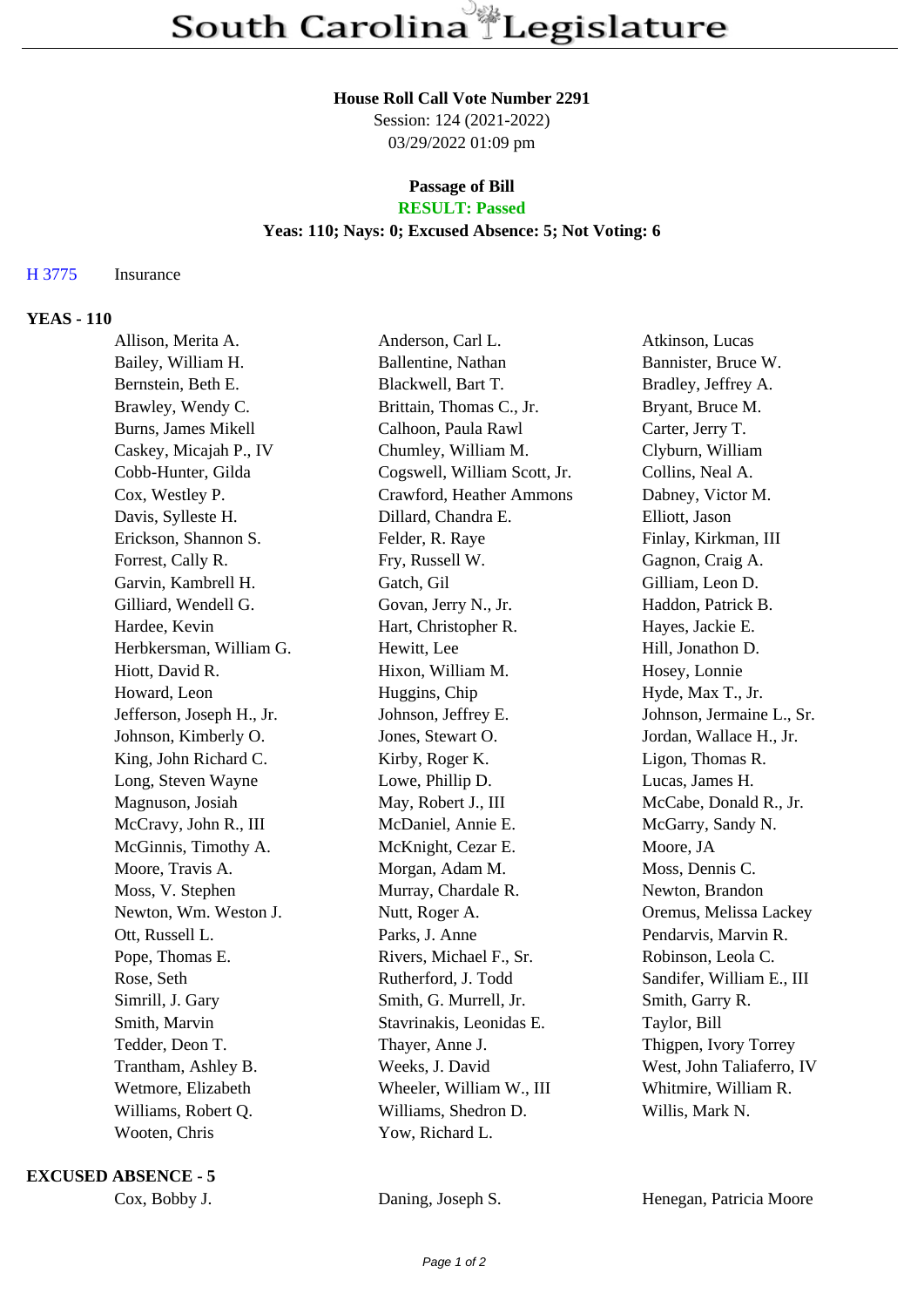#### **House Roll Call Vote Number 2291**

Session: 124 (2021-2022) 03/29/2022 01:09 pm

# **Passage of Bill**

## **RESULT: Passed**

### **Yeas: 110; Nays: 0; Excused Absence: 5; Not Voting: 6**

#### H 3775 Insurance

#### **YEAS - 110**

| Allison, Merita A.        | Anderson, Carl L.            | Atkinson, Lucas           |
|---------------------------|------------------------------|---------------------------|
| Bailey, William H.        | Ballentine, Nathan           | Bannister, Bruce W.       |
| Bernstein, Beth E.        | Blackwell, Bart T.           | Bradley, Jeffrey A.       |
| Brawley, Wendy C.         | Brittain, Thomas C., Jr.     | Bryant, Bruce M.          |
| Burns, James Mikell       | Calhoon, Paula Rawl          | Carter, Jerry T.          |
| Caskey, Micajah P., IV    | Chumley, William M.          | Clyburn, William          |
| Cobb-Hunter, Gilda        | Cogswell, William Scott, Jr. | Collins, Neal A.          |
| Cox, Westley P.           | Crawford, Heather Ammons     | Dabney, Victor M.         |
| Davis, Sylleste H.        | Dillard, Chandra E.          | Elliott, Jason            |
| Erickson, Shannon S.      | Felder, R. Raye              | Finlay, Kirkman, III      |
| Forrest, Cally R.         | Fry, Russell W.              | Gagnon, Craig A.          |
| Garvin, Kambrell H.       | Gatch, Gil                   | Gilliam, Leon D.          |
| Gilliard, Wendell G.      | Govan, Jerry N., Jr.         | Haddon, Patrick B.        |
| Hardee, Kevin             | Hart, Christopher R.         | Hayes, Jackie E.          |
| Herbkersman, William G.   | Hewitt, Lee                  | Hill, Jonathon D.         |
| Hiott, David R.           | Hixon, William M.            | Hosey, Lonnie             |
| Howard, Leon              | Huggins, Chip                | Hyde, Max T., Jr.         |
| Jefferson, Joseph H., Jr. | Johnson, Jeffrey E.          | Johnson, Jermaine L., Sr. |
| Johnson, Kimberly O.      | Jones, Stewart O.            | Jordan, Wallace H., Jr.   |
| King, John Richard C.     | Kirby, Roger K.              | Ligon, Thomas R.          |
| Long, Steven Wayne        | Lowe, Phillip D.             | Lucas, James H.           |
| Magnuson, Josiah          | May, Robert J., III          | McCabe, Donald R., Jr.    |
| McCravy, John R., III     | McDaniel, Annie E.           | McGarry, Sandy N.         |
| McGinnis, Timothy A.      | McKnight, Cezar E.           | Moore, JA                 |
| Moore, Travis A.          | Morgan, Adam M.              | Moss, Dennis C.           |
| Moss, V. Stephen          | Murray, Chardale R.          | Newton, Brandon           |
| Newton, Wm. Weston J.     | Nutt, Roger A.               | Oremus, Melissa Lackey    |
| Ott, Russell L.           | Parks, J. Anne               | Pendarvis, Marvin R.      |
| Pope, Thomas E.           | Rivers, Michael F., Sr.      | Robinson, Leola C.        |
| Rose, Seth                | Rutherford, J. Todd          | Sandifer, William E., III |
| Simrill, J. Gary          | Smith, G. Murrell, Jr.       | Smith, Garry R.           |
| Smith, Marvin             | Stavrinakis, Leonidas E.     | Taylor, Bill              |
| Tedder, Deon T.           | Thayer, Anne J.              | Thigpen, Ivory Torrey     |
| Trantham, Ashley B.       | Weeks, J. David              | West, John Taliaferro, IV |
| Wetmore, Elizabeth        | Wheeler, William W., III     | Whitmire, William R.      |
| Williams, Robert Q.       | Williams, Shedron D.         | Willis, Mark N.           |
| Wooten, Chris             | Yow, Richard L.              |                           |

#### **EXCUSED ABSENCE - 5**

Cox, Bobby J. Daning, Joseph S. Henegan, Patricia Moore